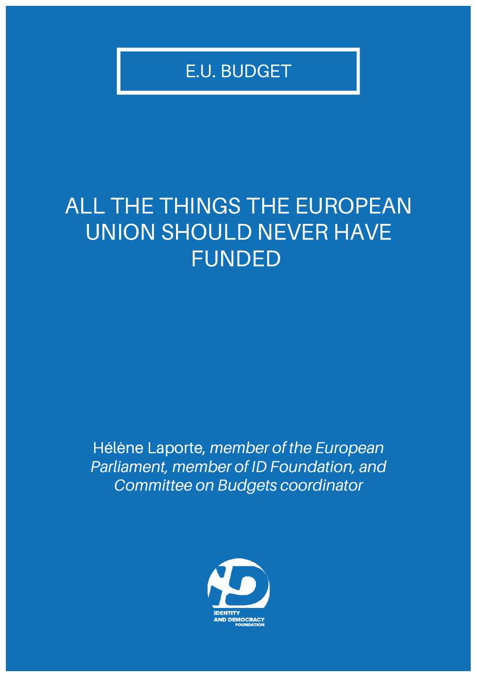E.U. BUDGET

# ALL THE THINGS THE EUROPEAN UNION SHOULD NEVER HAVE FUNDED

Hélène Laporte, *member of the European Parliament, member of ID Foundation, and Committee on Budgets coordinator*

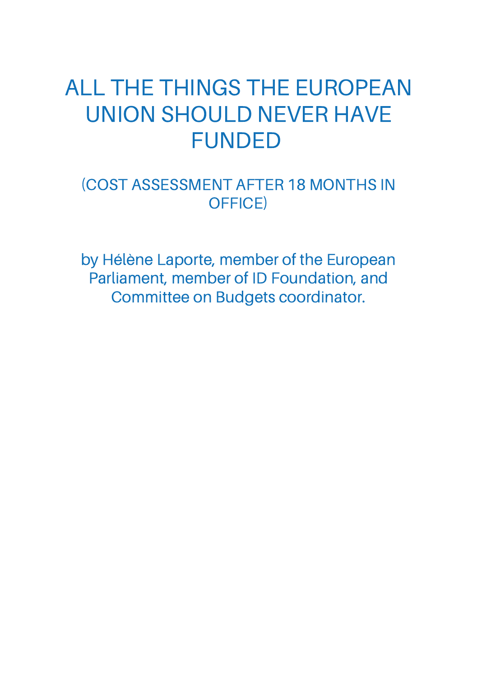# ALL THE THINGS THE EUROPEAN UNION SHOULD NEVER HAVE FUNDED

## (COST ASSESSMENT AFTER 18 MONTHS IN OFFICE)

by Hélène Laporte, member of the European Parliament, member of ID Foundation, and Committee on Budgets coordinator.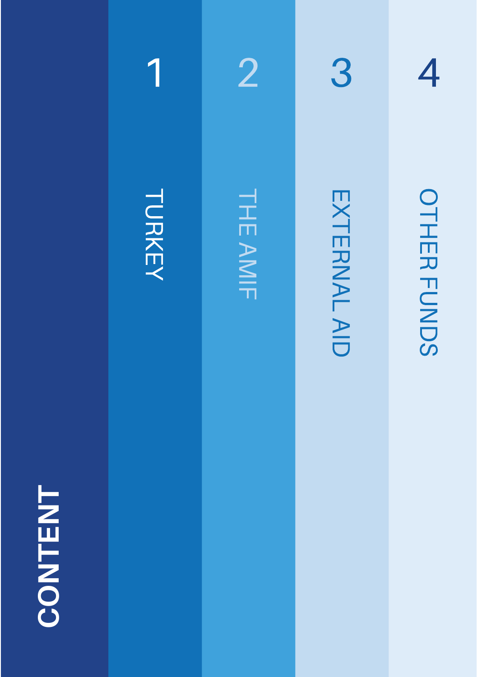



1



EXTERNAL EXTERNAL AID

3

**OTHER** FUNDS

4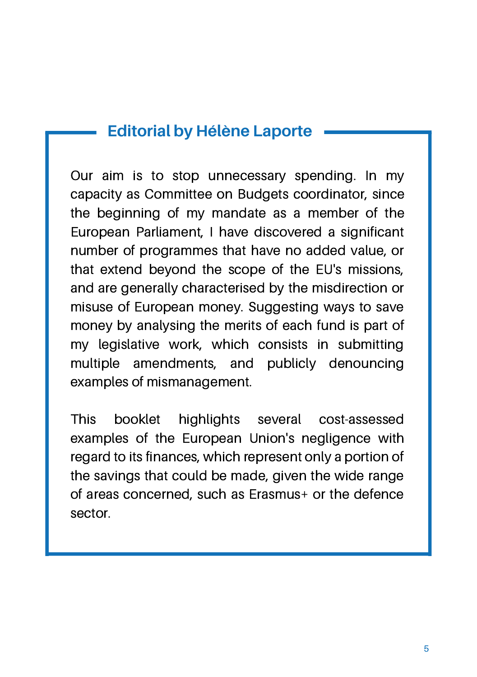## **Editorial by Hélène Laporte**

Our aim is to stop unnecessary spending. In my capacity as Committee on Budgets coordinator, since the beginning of my mandate as a member of the European Parliament, I have discovered a significant number of programmes that have no added value, or that extend beyond the scope of the EU's missions, and are generally characterised by the misdirection or misuse of European money. Suggesting ways to save money by analysing the merits of each fund is part of my legislative work, which consists in submitting multiple amendments, and publicly denouncing examples of mismanagement.

This booklet highlights several cost-assessed examples of the European Union's negligence with regard to its finances, which represent only a portion of the savings that could be made, given the wide range of areas concerned, such as Erasmus+ or the defence sector.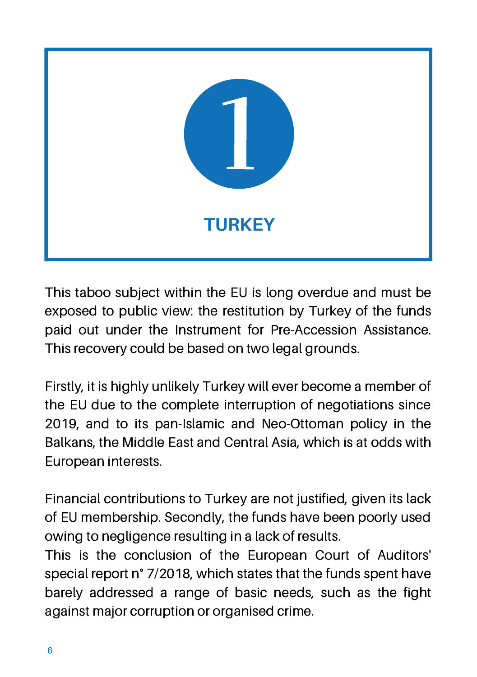

This taboo subject within the EU is long overdue and must be exposed to public view: the restitution by Turkey of the funds paid out under the Instrument for Pre-Accession Assistance. This recovery could be based on two legal grounds.

Firstly, it is highly unlikely Turkey will ever become a member of the EU due to the complete interruption of negotiations since 2019, and to its pan-Islamic and Neo-Ottoman policy in the Balkans, the Middle East and Central Asia, which is at odds with European interests.

Financial contributions to Turkey are not justified, given its lack of EU membership. Secondly, the funds have been poorly used owing to negligence resulting in a lack of results.

This is the conclusion of the European Court of Auditors' special report n° 7/2018, which states that the funds spent have barely addressed a range of basic needs, such as the fight against major corruption or organised crime.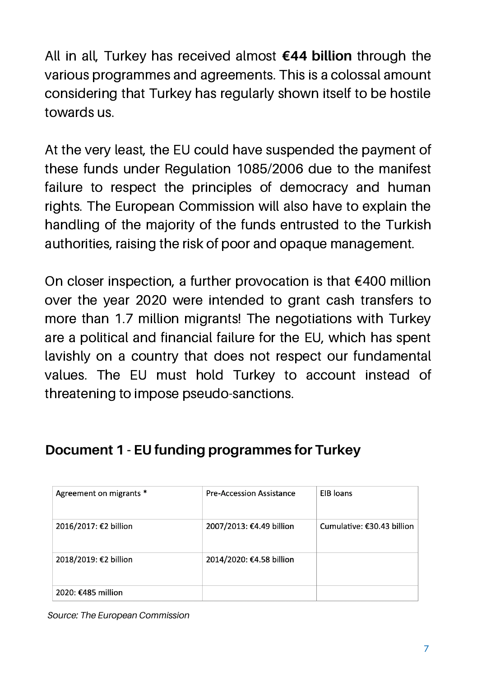All in all, Turkey has received almost **€44 billion** through the various programmes and agreements. This is a colossal amount considering that Turkey has regularly shown itself to be hostile towards us.

At the very least, the EU could have suspended the payment of these funds under Regulation 1085/2006 due to the manifest failure to respect the principles of democracy and human rights. The European Commission will also have to explain the handling of the majority of the funds entrusted to the Turkish authorities, raising the risk of poor and opaque management.

On closer inspection, a further provocation is that €400 million over the year 2020 were intended to grant cash transfers to more than 1.7 million migrants! The negotiations with Turkey are a political and financial failure for the EU, which has spent lavishly on a country that does not respect our fundamental values. The EU must hold Turkey to account instead of threatening to impose pseudo-sanctions.

### **Document 1 - EU funding programmes for Turkey**

| Agreement on migrants * | <b>Pre-Accession Assistance</b> | EIB loans                  |
|-------------------------|---------------------------------|----------------------------|
| 2016/2017: €2 billion   | 2007/2013: €4.49 billion        | Cumulative: €30.43 billion |
| 2018/2019: €2 billion   | 2014/2020: €4.58 billion        |                            |
| 2020: €485 million      |                                 |                            |

*Source: The European Commission*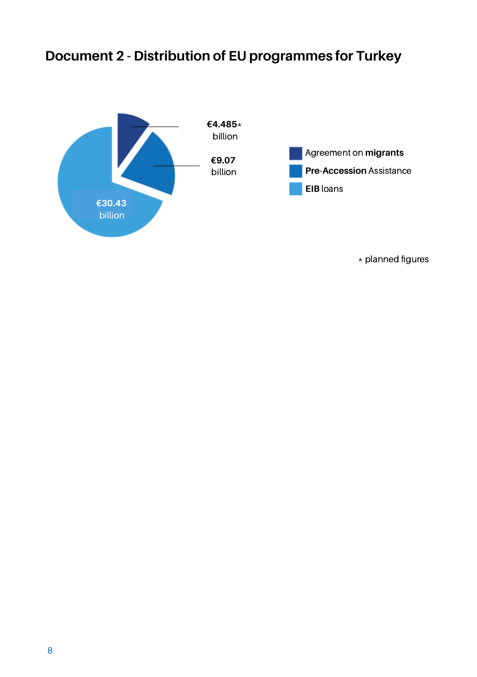# **Document 2 - Distribution of EU programmes for Turkey**



\* planned figures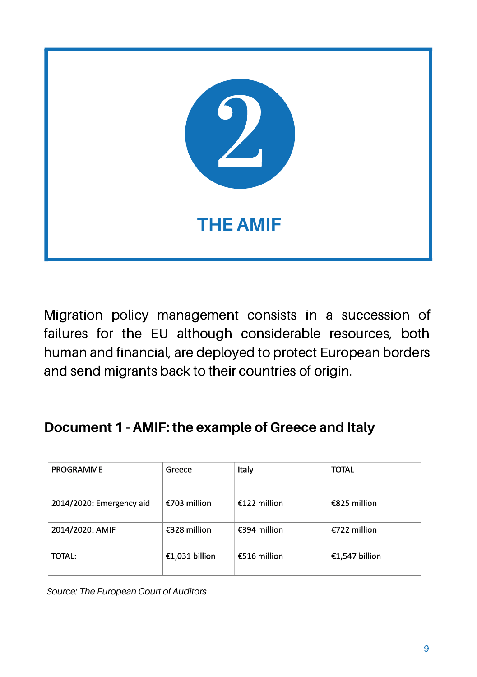

Migration policy management consists in a succession of failures for the EU although considerable resources, both human and financial, are deployed to protect European borders and send migrants back to their countries of origin.

### **Document 1 - AMIF: the example of Greece and Italy**

| PROGRAMME                | Greece         | Italy        | <b>TOTAL</b>   |
|--------------------------|----------------|--------------|----------------|
| 2014/2020: Emergency aid | €703 million   | €122 million | €825 million   |
| 2014/2020: AMIF          | €328 million   | €394 million | €722 million   |
| TOTAL:                   | €1,031 billion | €516 million | €1,547 billion |

*Source: The European Court of Auditors*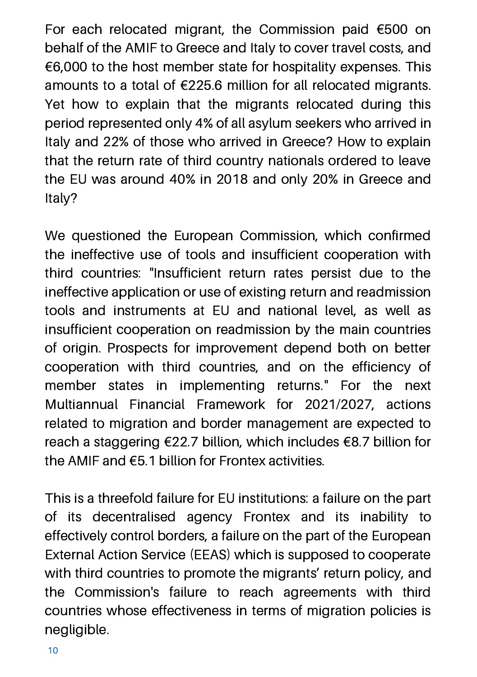For each relocated migrant, the Commission paid €500 on behalf of the AMIF to Greece and Italy to cover travel costs, and €6,000 to the host member state for hospitality expenses. This amounts to a total of €225.6 million for all relocated migrants. Yet how to explain that the migrants relocated during this period represented only 4% of all asylum seekers who arrived in Italy and 22% of those who arrived in Greece? How to explain that the return rate of third country nationals ordered to leave the EU was around 40% in 2018 and only 20% in Greece and Italy?

We questioned the European Commission, which confirmed the ineffective use of tools and insufficient cooperation with third countries: "Insufficient return rates persist due to the ineffective application or use of existing return and readmission tools and instruments at EU and national level, as well as insufficient cooperation on readmission by the main countries of origin. Prospects for improvement depend both on better cooperation with third countries, and on the efficiency of member states in implementing returns." For the next Multiannual Financial Framework for 2021/2027, actions related to migration and border management are expected to reach a staggering €22.7 billion, which includes €8.7 billion for the AMIF and €5.1 billion for Frontex activities.

This is a threefold failure for EU institutions: a failure on the part of its decentralised agency Frontex and its inability to effectively control borders, a failure on the part of the European External Action Service (EEAS) which is supposed to cooperate with third countries to promote the migrants' return policy, and the Commission's failure to reach agreements with third countries whose effectiveness in terms of migration policies is negligible.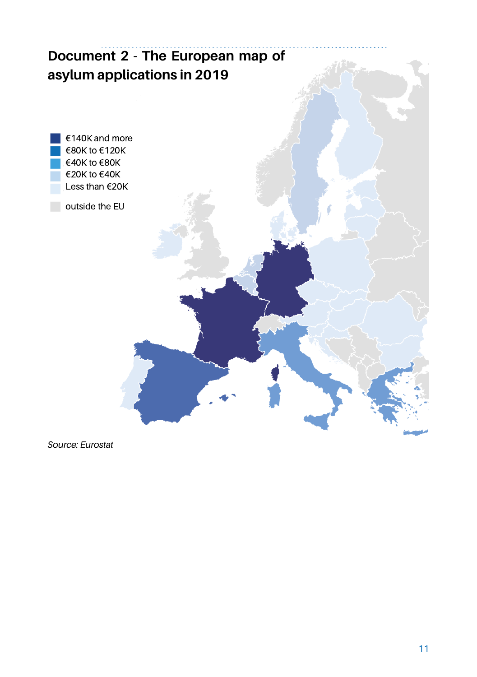

*Source: Eurostat*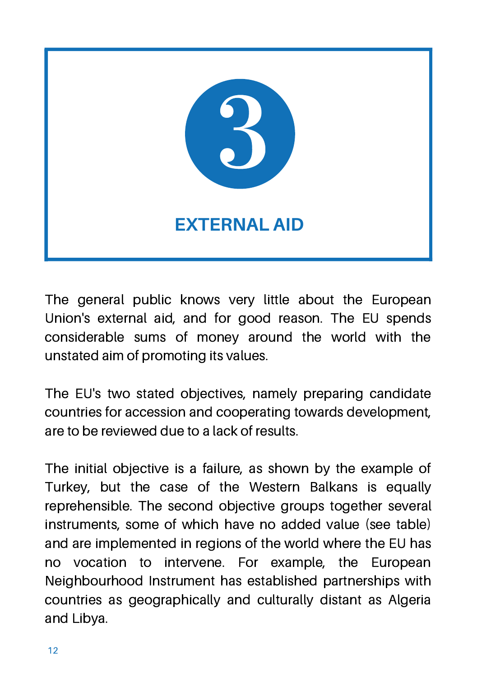

The general public knows very little about the European Union's external aid, and for good reason. The EU spends considerable sums of money around the world with the unstated aim of promoting its values.

The EU's two stated objectives, namely preparing candidate countries for accession and cooperating towards development, are to be reviewed due to a lack of results.

The initial objective is a failure, as shown by the example of Turkey, but the case of the Western Balkans is equally reprehensible. The second objective groups together several instruments, some of which have no added value (see table) and are implemented in regions of the world where the EU has no vocation to intervene. For example, the European Neighbourhood Instrument has established partnerships with countries as geographically and culturally distant as Algeria and Libya.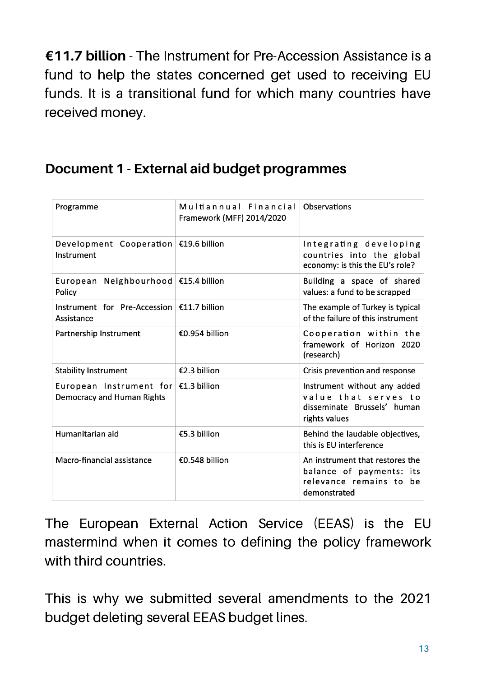**€11.7 billion** - The Instrument for Pre-Accession Assistance is a fund to help the states concerned get used to receiving EU funds. It is a transitional fund for which many countries have received money.

### **Document 1 - External aid budget programmes**

| Programme                                                                    | Multiannual Financial<br>Framework (MFF) 2014/2020 | Observations                                                                                           |
|------------------------------------------------------------------------------|----------------------------------------------------|--------------------------------------------------------------------------------------------------------|
| Development Cooperation $\in$ 19.6 billion<br>Instrument                     |                                                    | Integrating developing<br>countries into the global<br>economy: is this the EU's role?                 |
| European Neighbourhood   €15.4 billion<br>Policy                             |                                                    | Building a space of shared<br>values: a fund to be scrapped                                            |
| Instrument for Pre-Accession $\in$ 11.7 billion<br>Assistance                |                                                    | The example of Turkey is typical<br>of the failure of this instrument                                  |
| Partnership Instrument                                                       | €0.954 billion                                     | Cooperation within the<br>framework of Horizon 2020<br>(research)                                      |
| <b>Stability Instrument</b>                                                  | €2.3 billion                                       | Crisis prevention and response                                                                         |
| European Instrument for $\epsilon$ 1.3 billion<br>Democracy and Human Rights |                                                    | Instrument without any added<br>value that serves to<br>disseminate Brussels' human<br>rights values   |
| Humanitarian aid                                                             | €5.3 billion                                       | Behind the laudable objectives,<br>this is EU interference                                             |
| Macro-financial assistance                                                   | €0.548 billion                                     | An instrument that restores the<br>balance of payments: its<br>relevance remains to be<br>demonstrated |

The European External Action Service (EEAS) is the EU mastermind when it comes to defining the policy framework with third countries.

This is why we submitted several amendments to the 2021 budget deleting several EEAS budget lines.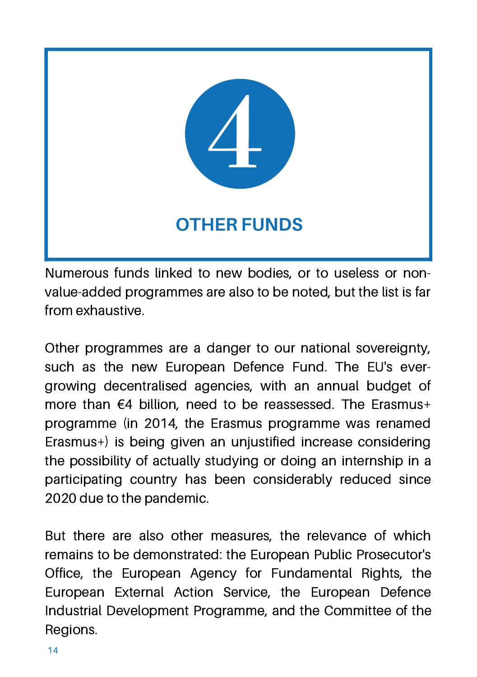

Numerous funds linked to new bodies, or to useless or nonvalue-added programmes are also to be noted, but the list is far from exhaustive.

Other programmes are a danger to our national sovereignty, such as the new European Defence Fund. The EU's evergrowing decentralised agencies, with an annual budget of more than €4 billion, need to be reassessed. The Erasmus+ programme (in 2014, the Erasmus programme was renamed Erasmus+) is being given an unjustified increase considering the possibility of actually studying or doing an internship in a participating country has been considerably reduced since 2020 due to the pandemic.

But there are also other measures, the relevance of which remains to be demonstrated: the European Public Prosecutor's Office, the European Agency for Fundamental Rights, the European External Action Service, the European Defence Industrial Development Programme, and the Committee of the Regions.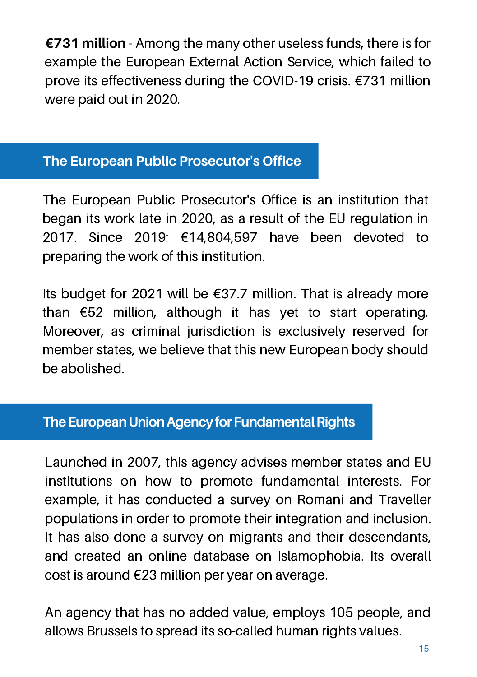**€731 million** - Among the many other useless funds, there is for example the European External Action Service, which failed to prove its effectiveness during the COVID-19 crisis. €731 million were paid out in 2020.

### **The European Public Prosecutor's Office**

The European Public Prosecutor's Office is an institution that began its work late in 2020, as a result of the EU regulation in 2017. Since 2019: €14,804,597 have been devoted to preparing the work of this institution.

Its budget for 2021 will be  $\epsilon$ 37.7 million. That is already more than €52 million, although it has yet to start operating. Moreover, as criminal jurisdiction is exclusively reserved for member states, we believe that this new European body should be abolished.

### **The European Union Agency for Fundamental Rights**

Launched in 2007, this agency advises member states and EU institutions on how to promote fundamental interests. For example, it has conducted a survey on Romani and Traveller populations in order to promote their integration and inclusion. It has also done a survey on migrants and their descendants, and created an online database on Islamophobia. Its overall cost is around €23 million per year on average.

An agency that has no added value, employs 105 people, and allows Brussels to spread its so-called human rights values.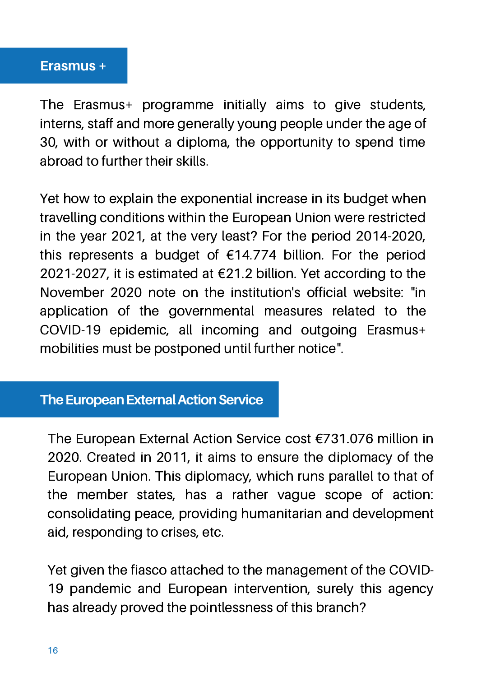#### **Erasmus +**

The Erasmus+ programme initially aims to give students, interns, staff and more generally young people under the age of 30, with or without a diploma, the opportunity to spend time abroad to further their skills.

Yet how to explain the exponential increase in its budget when travelling conditions within the European Union were restricted in the year 2021, at the very least? For the period 2014-2020, this represents a budget of €14.774 billion. For the period 2021-2027, it is estimated at €21.2 billion. Yet according to the November 2020 note on the institution's official website: "in application of the governmental measures related to the COVID-19 epidemic, all incoming and outgoing Erasmus+ mobilities must be postponed until further notice".

#### **The European External Action Service**

The European External Action Service cost €731.076 million in 2020. Created in 2011, it aims to ensure the diplomacy of the European Union. This diplomacy, which runs parallel to that of the member states, has a rather vague scope of action: consolidating peace, providing humanitarian and development aid, responding to crises, etc.

Yet given the fiasco attached to the management of the COVID-19 pandemic and European intervention, surely this agency has already proved the pointlessness of this branch?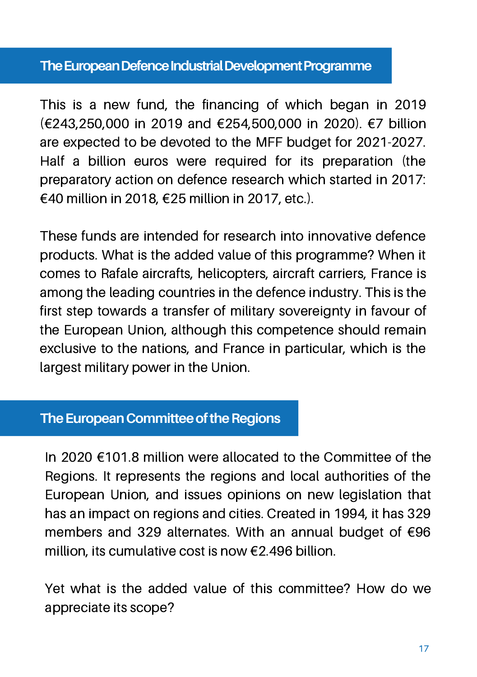#### **The European Defence Industrial Development Programme**

This is a new fund, the financing of which began in 2019 (€243,250,000 in 2019 and €254,500,000 in 2020). €7 billion are expected to be devoted to the MFF budget for 2021-2027. Half a billion euros were required for its preparation (the preparatory action on defence research which started in 2017: €40 million in 2018, €25 million in 2017, etc.).

These funds are intended for research into innovative defence products. What is the added value of this programme? When it comes to Rafale aircrafts, helicopters, aircraft carriers, France is among the leading countries in the defence industry. This is the first step towards a transfer of military sovereignty in favour of the European Union, although this competence should remain exclusive to the nations, and France in particular, which is the largest military power in the Union.

#### **The European Committee of the Regions**

In 2020 €101.8 million were allocated to the Committee of the Regions. It represents the regions and local authorities of the European Union, and issues opinions on new legislation that has an impact on regions and cities. Created in 1994, it has 329 members and 329 alternates. With an annual budget of €96 million, its cumulative cost is now €2.496 billion.

Yet what is the added value of this committee? How do we appreciate its scope?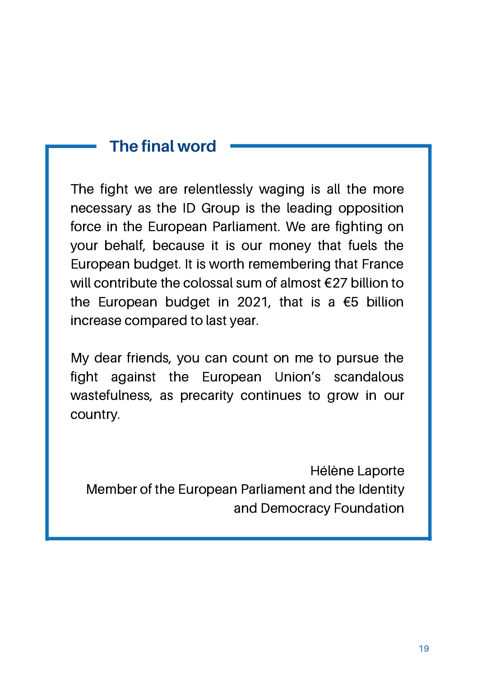# **The final word**

The fight we are relentlessly waging is all the more necessary as the ID Group is the leading opposition force in the European Parliament. We are fighting on your behalf, because it is our money that fuels the European budget. It is worth remembering that France will contribute the colossal sum of almost €27 billion to the European budget in 2021, that is a €5 billion increase compared to last year.

My dear friends, you can count on me to pursue the fight against the European Union's scandalous wastefulness, as precarity continues to grow in our country.

Hélène Laporte Member of the European Parliament and the Identity and Democracy Foundation